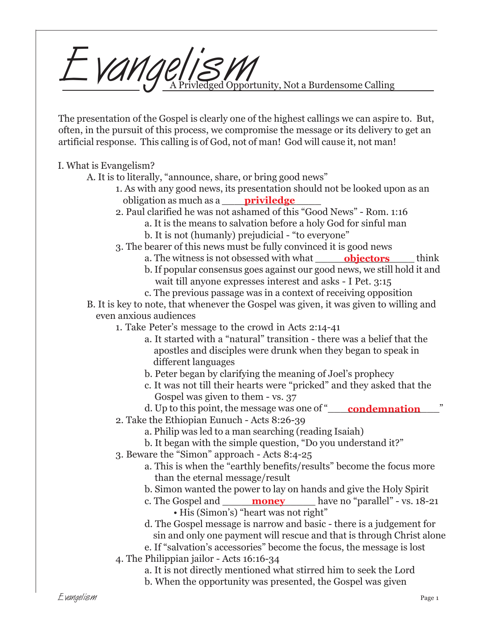

The presentation of the Gospel is clearly one of the highest callings we can aspire to. But, often, in the pursuit of this process, we compromise the message or its delivery to get an artificial response. This calling is of God, not of man! God will cause it, not man!

I. What is Evangelism?

- A. It is to literally, "announce, share, or bring good news"
	- 1. As with any good news, its presentation should not be looked upon as an obligation as much as a \_\_\_\_\_\_\_\_\_\_\_\_\_\_\_\_ **priviledge**
	- 2. Paul clarified he was not ashamed of this "Good News" Rom. 1:16
		- a. It is the means to salvation before a holy God for sinful man
			- b. It is not (humanly) prejudicial "to everyone"
	- 3. The bearer of this news must be fully convinced it is good news
		- a. The witness is not obsessed with what \_\_\_\_\_\_\_\_\_\_\_\_\_\_\_\_\_\_\_\_\_\_\_\_\_\_\_think b. If popular consensus goes against our good news, we still hold it and wait till anyone expresses interest and asks - I Pet. 3:15
		- c. The previous passage was in a context of receiving opposition
- B. It is key to note, that whenever the Gospel was given, it was given to willing and even anxious audiences
	- 1. Take Peter's message to the crowd in Acts 2:14-41
		- a. It started with a "natural" transition there was a belief that the apostles and disciples were drunk when they began to speak in different languages
		- b. Peter began by clarifying the meaning of Joel's prophecy
		- c. It was not till their hearts were "pricked" and they asked that the Gospel was given to them - vs. 37
		- d. Up to this point, the message was one of "\_\_\_\_\_<mark>condemnation</mark>\_\_\_\_\_\_"
	- 2. Take the Ethiopian Eunuch Acts 8:26-39
		- a. Philip was led to a man searching (reading Isaiah)
		- b. It began with the simple question, "Do you understand it?"
	- 3. Beware the "Simon" approach Acts 8:4-25
		- a. This is when the "earthly benefits/results" become the focus more than the eternal message/result
		- b. Simon wanted the power to lay on hands and give the Holy Spirit
		- c. The Gospel and \_\_\_\_\_\_\_\_\_\_\_\_\_\_\_ have no "parallel" vs. 18-21 **money**• His (Simon's) "heart was not right"
		- d. The Gospel message is narrow and basic there is a judgement for sin and only one payment will rescue and that is through Christ alone
		- e. If "salvation's accessories" become the focus, the message is lost
	- 4. The Philippian jailor Acts 16:16-34
		- a. It is not directly mentioned what stirred him to seek the Lord
		- b. When the opportunity was presented, the Gospel was given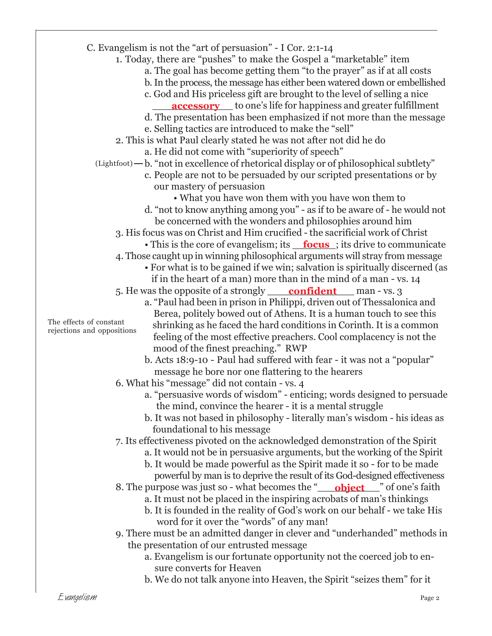- C. Evangelism is not the "art of persuasion" I Cor. 2:1-14
	- 1. Today, there are "pushes" to make the Gospel a "marketable" item
		- a. The goal has become getting them "to the prayer" as if at all costs
		- b. In the process, the message has either been watered down or embellished
		- c. God and His priceless gift are brought to the level of selling a nice
		- **<u>accessory</u>** to one's life for happiness and greater fulfillment
		- d. The presentation has been emphasized if not more than the message
		- e. Selling tactics are introduced to make the "sell"
	- 2. This is what Paul clearly stated he was not after not did he do
		- a. He did not come with "superiority of speech"
	- $L$ ightfoot)  $-b$ . "not in excellence of rhetorical display or of philosophical subtlety"
		- c. People are not to be persuaded by our scripted presentations or by our mastery of persuasion
		- What you have won them with you have won them to d. "not to know anything among you" - as if to be aware of - he would not be concerned with the wonders and philosophies around him
		- 3. His focus was on Christ and Him crucified the sacrificial work of Christ
			- This is the core of evangelism; its **<u>focus</u>**; its drive to communicate
		- 4. Those caught up in winning philosophical arguments will stray from message
			- For what is to be gained if we win; salvation is spiritually discerned (as if in the heart of a man) more than in the mind of a man - vs. 14
		- 5. He was the opposite of a strongly <u>confident</u> man vs. 3
			- a. "Paul had been in prison in Philippi, driven out of Thessalonica and Berea, politely bowed out of Athens. It is a human touch to see this shrinking as he faced the hard conditions in Corinth. It is a common feeling of the most effective preachers. Cool complacency is not the mood of the finest preaching." RWP
				- b. Acts 18:9-10 Paul had suffered with fear it was not a "popular" message he bore nor one flattering to the hearers
		- 6. What his "message" did not contain vs. 4
			- a. "persuasive words of wisdom" enticing; words designed to persuade the mind, convince the hearer - it is a mental struggle
			- b. It was not based in philosophy literally man's wisdom his ideas as foundational to his message
		- 7. Its effectiveness pivoted on the acknowledged demonstration of the Spirit
			- a. It would not be in persuasive arguments, but the working of the Spirit
			- b. It would be made powerful as the Spirit made it so for to be made powerful by man is to deprive the result of its God-designed effectiveness
		- 8. The purpose was just so what becomes the "**object**" of one's faith
			- a. It must not be placed in the inspiring acrobats of man's thinkings
			- b. It is founded in the reality of God's work on our behalf we take His word for it over the "words" of any man!
		- 9. There must be an admitted danger in clever and "underhanded" methods in the presentation of our entrusted message
			- a. Evangelism is our fortunate opportunity not the coerced job to en sure converts for Heaven
			- b. We do not talk anyone into Heaven, the Spirit "seizes them" for it

The effects of constant rejections and oppositions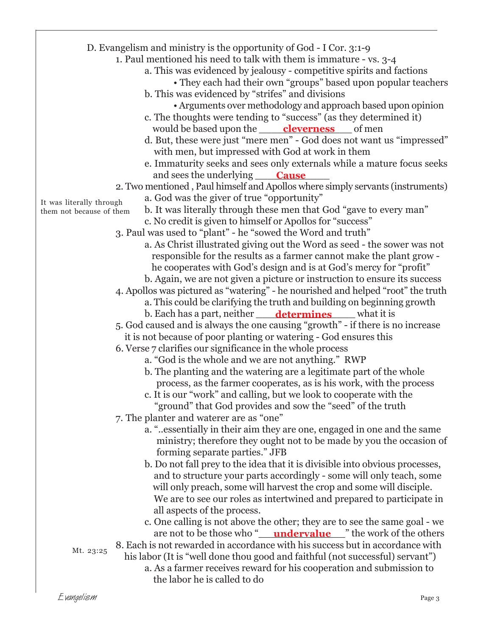|                          | D. Evangelism and ministry is the opportunity of God - I Cor. 3:1-9              |
|--------------------------|----------------------------------------------------------------------------------|
|                          | 1. Paul mentioned his need to talk with them is immature - vs. 3-4               |
|                          |                                                                                  |
|                          | a. This was evidenced by jealousy - competitive spirits and factions             |
|                          | • They each had their own "groups" based upon popular teachers                   |
|                          | b. This was evidenced by "strifes" and divisions                                 |
|                          | • Arguments over methodology and approach based upon opinion                     |
|                          | c. The thoughts were tending to "success" (as they determined it)                |
|                          | would be based upon the <b>cleverness</b> of men                                 |
|                          | d. But, these were just "mere men" - God does not want us "impressed"            |
|                          | with men, but impressed with God at work in them                                 |
|                          | e. Immaturity seeks and sees only externals while a mature focus seeks           |
|                          | and sees the underlying<br><b>Cause</b>                                          |
|                          | 2. Two mentioned, Paul himself and Apollos where simply servants (instruments)   |
| It was literally through | a. God was the giver of true "opportunity"                                       |
| them not because of them | b. It was literally through these men that God "gave to every man"               |
|                          | c. No credit is given to himself or Apollos for "success"                        |
|                          | 3. Paul was used to "plant" - he "sowed the Word and truth"                      |
|                          | a. As Christ illustrated giving out the Word as seed - the sower was not         |
|                          | responsible for the results as a farmer cannot make the plant grow -             |
|                          | he cooperates with God's design and is at God's mercy for "profit"               |
|                          | b. Again, we are not given a picture or instruction to ensure its success        |
|                          | 4. Apollos was pictured as "watering" - he nourished and helped "root" the truth |
|                          | a. This could be clarifying the truth and building on beginning growth           |
|                          | b. Each has a part, neither <u>determines</u> what it is                         |
|                          | 5. God caused and is always the one causing "growth" - if there is no increase   |
|                          | it is not because of poor planting or watering - God ensures this                |
|                          | 6. Verse 7 clarifies our significance in the whole process                       |
|                          | a. "God is the whole and we are not anything." RWP                               |
|                          | b. The planting and the watering are a legitimate part of the whole              |
|                          | process, as the farmer cooperates, as is his work, with the process              |
|                          | c. It is our "work" and calling, but we look to cooperate with the               |
|                          | "ground" that God provides and sow the "seed" of the truth                       |
|                          | 7. The planter and waterer are as "one"                                          |
|                          |                                                                                  |
|                          | a. "essentially in their aim they are one, engaged in one and the same           |
|                          | ministry; therefore they ought not to be made by you the occasion of             |
|                          | forming separate parties." JFB                                                   |
|                          | b. Do not fall prey to the idea that it is divisible into obvious processes,     |
|                          | and to structure your parts accordingly - some will only teach, some             |
|                          | will only preach, some will harvest the crop and some will disciple.             |
|                          | We are to see our roles as intertwined and prepared to participate in            |
|                          | all aspects of the process.                                                      |
|                          | c. One calling is not above the other; they are to see the same goal - we        |
|                          | are not to be those who " <b>undervalue</b> " the work of the others             |
| Mt. 23:25                | 8. Each is not rewarded in accordance with his success but in accordance with    |
|                          | his labor (It is "well done thou good and faithful (not successful) servant")    |
|                          | a. As a farmer receives reward for his cooperation and submission to             |
|                          | the labor he is called to do                                                     |
|                          |                                                                                  |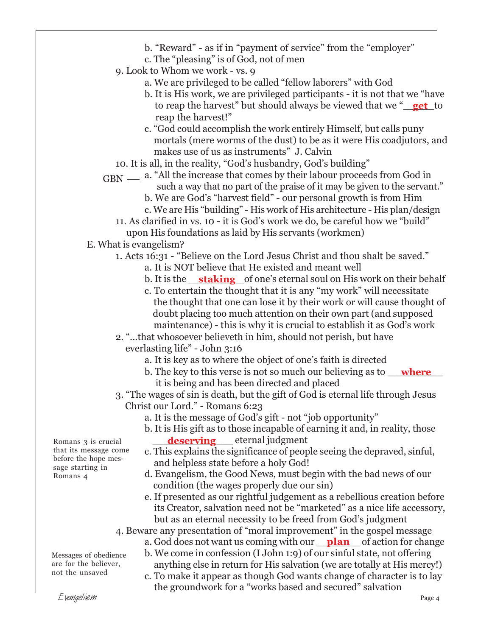- b. "Reward" as if in "payment of service" from the "employer"
- c. The "pleasing" is of God, not of men
- 9. Look to Whom we work vs. 9
	- a. We are privileged to be called "fellow laborers" with God
	- b. It is His work, we are privileged participants it is not that we "have to reap the harvest" but should always be viewed that we "**get** to reap the harvest!"
	- c. "God could accomplish the work entirely Himself, but calls puny mortals (mere worms of the dust) to be as it were His coadjutors, and makes use of us as instruments" J. Calvin
- 10. It is all, in the reality, "God's husbandry, God's building"
- GBN a. "All the increase that comes by their labour proceeds from God in such a way that no part of the praise of it may be given to the servant."
	- b. We are God's "harvest field" our personal growth is from Him
	- c. We are His "building" His work of His architecture His plan/design
	- 11. As clarified in vs. 10 it is God's work we do, be careful how we "build" upon His foundations as laid by His servants (workmen)
- E. What is evangelism?
	- 1. Acts 16:31 "Believe on the Lord Jesus Christ and thou shalt be saved."
		- a. It is NOT believe that He existed and meant well
		- b. It is the <u>\_\_**staking**\_\_</u>of one's eternal soul on His work on their behalf
		- c. To entertain the thought that it is any "my work" will necessitate the thought that one can lose it by their work or will cause thought of doubt placing too much attention on their own part (and supposed maintenance) - this is why it is crucial to establish it as God's work
	- 2. "...that whosoever believeth in him, should not perish, but have everlasting life" - John 3:16
		- a. It is key as to where the object of one's faith is directed
		- b. The key to this verse is not so much our believing as to <u>where</u> it is being and has been directed and placed
	- 3. "The wages of sin is death, but the gift of God is eternal life through Jesus Christ our Lord." - Romans 6:23
		- a. It is the message of God's gift not "job opportunity"
		- b. It is His gift as to those incapable of earning it and, in reality, those **deserving** eternal judgment
		- c. This explains the significance of people seeing the depraved, sinful, and helpless state before a holy God!
		- d. Evangelism, the Good News, must begin with the bad news of our condition (the wages properly due our sin)
		- e. If presented as our rightful judgement as a rebellious creation before its Creator, salvation need not be "marketed" as a nice life accessory, but as an eternal necessity to be freed from God's judgment
	- 4. Beware any presentation of "moral improvement" in the gospel message a. God does not want us coming with our <u>plan</u> of action for change
		- b. We come in confession (I John 1:9) of our sinful state, not offering anything else in return for His salvation (we are totally at His mercy!)
		- c. To make it appear as though God wants change of character is to lay the groundwork for a "works based and secured" salvation

Romans 3 is crucial that its message come before the hope message starting in Romans 4

Messages of obedience are for the believer, not the unsaved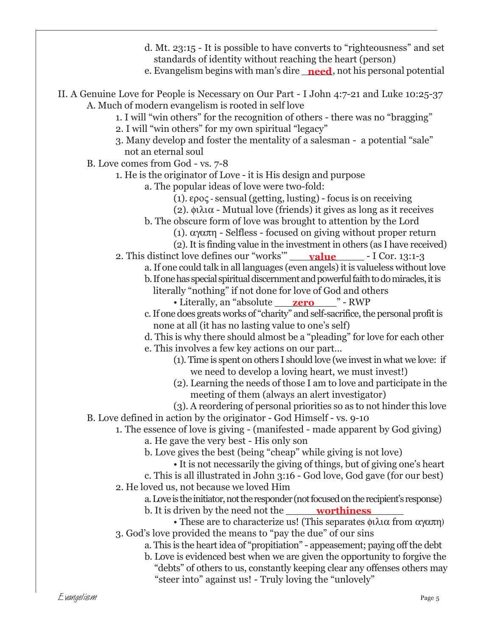- d. Mt. 23:15 It is possible to have converts to "righteousness" and set standards of identity without reaching the heart (person)
- e. Evangelism begins with man's dire <u>\_**need**,</u> not his personal potential
- II. A Genuine Love for People is Necessary on Our Part I John 4:7-21 and Luke 10:25-37 A. Much of modern evangelism is rooted in self love
	- 1. I will "win others" for the recognition of others there was no "bragging"
	- 2. I will "win others" for my own spiritual "legacy"
	- 3. Many develop and foster the mentality of a salesman a potential "sale" not an eternal soul
	- B. Love comes from God vs. 7-8
		- 1. He is the originator of Love it is His design and purpose
			- a. The popular ideas of love were two-fold:
				- (1). ερος sensual (getting, lusting) focus is on receiving
				- (2). φιλια Mutual love (friends) it gives as long as it receives
				- b. The obscure form of love was brought to attention by the Lord
					- (1). αγαπη Selfless focused on giving without proper return
					- (2). It is finding value in the investment in others (as I have received)
		- 2. This distinct love defines our "works" <u>\_\_\_\_\_**value**\_\_\_\_\_</u> I Cor. 13:1-3
			- a. If one could talk in all languages (even angels) it is valueless without love

b. If one has special spiritual discernment and powerful faith to do miracles, it is

- literally "nothing" if not done for love of God and others
	- Literally, an "absolute <u>\_\_\_\_**zero** \_\_\_\_</u>" RWP
- c. If one does greats works of "charity" and self-sacrifice, the personal profit is none at all (it has no lasting value to one's self)
- d. This is why there should almost be a "pleading" for love for each other e. This involves a few key actions on our part...
	- (1). Time is spent on others I should love (we invest in what we love: if we need to develop a loving heart, we must invest!)
	- (2). Learning the needs of those I am to love and participate in the meeting of them (always an alert investigator)
- (3). A reordering of personal priorities so as to not hinder this love B. Love defined in action by the originator - God Himself - vs. 9-10
	- 1. The essence of love is giving (manifested made apparent by God giving)
		- a. He gave the very best His only son
		- b. Love gives the best (being "cheap" while giving is not love)
			- It is not necessarily the giving of things, but of giving one's heart
		- c. This is all illustrated in John 3:16 God love, God gave (for our best) 2. He loved us, not because we loved Him
			- a. Love is the initiator, not the responder (not focused on the recipient's response)
			- b. It is driven by the need not the \_\_\_\_\_\_\_\_\_\_\_\_\_\_\_\_\_\_\_ **worthiness**
		- These are to characterize us! (This separates  $\phi \lambda \alpha$  from  $\alpha \gamma \alpha \pi \eta$ ) 3. God's love provided the means to "pay the due" of our sins
			- a. This is the heart idea of "propitiation" appeasement; paying off the debt
			- b. Love is evidenced best when we are given the opportunity to forgive the "debts" of others to us, constantly keeping clear any offenses others may "steer into" against us! - Truly loving the "unlovely"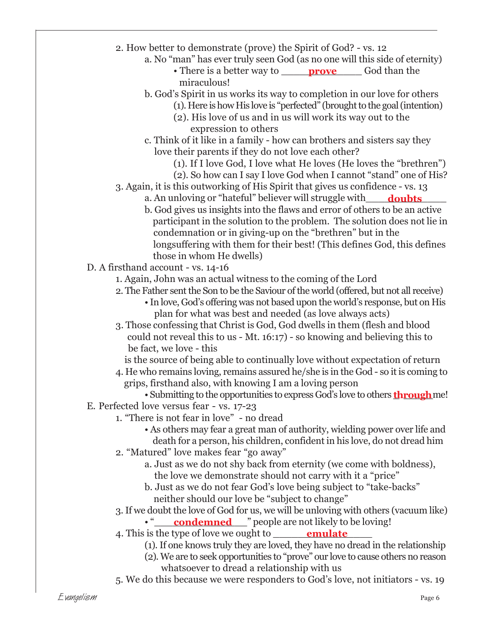- 2. How better to demonstrate (prove) the Spirit of God? vs. 12
	- a. No "man" has ever truly seen God (as no one will this side of eternity)
		- There is a better way to <u>prove</u> God than the miraculous!
	- b. God's Spirit in us works its way to completion in our love for others
		- (1). Here is how His love is "perfected" (brought to the goal (intention)
		- (2). His love of us and in us will work its way out to the expression to others
	- c. Think of it like in a family how can brothers and sisters say they love their parents if they do not love each other?
		- (1). If I love God, I love what He loves (He loves the "brethren")
		- (2). So how can I say I love God when I cannot "stand" one of His?
- 3. Again, it is this outworking of His Spirit that gives us confidence vs. 13
	- a. An unloving or "hateful" believer will struggle with\_\_\_\_\_<mark>doubts</mark>\_\_\_\_\_
	- b. God gives us insights into the flaws and error of others to be an active participant in the solution to the problem. The solution does not lie in condemnation or in giving-up on the "brethren" but in the longsuffering with them for their best! (This defines God, this defines those in whom He dwells)
- D. A firsthand account vs. 14-16
	- 1. Again, John was an actual witness to the coming of the Lord
	- 2. The Father sent the Son to be the Saviour of the world (offered, but not all receive)
		- In love, God's offering was not based upon the world's response, but on His plan for what was best and needed (as love always acts)
	- 3. Those confessing that Christ is God, God dwells in them (flesh and blood could not reveal this to us - Mt. 16:17) - so knowing and believing this to be fact, we love - this

is the source of being able to continually love without expectation of return

- 4. He who remains loving, remains assured he/she is in the God so it is coming to grips, firsthand also, with knowing I am a loving person
	- Submitting to the opportunities to express God's love to others **through** me!
- E. Perfected love versus fear vs. 17-23
	- 1. "There is not fear in love" no dread
		- As others may fear a great man of authority, wielding power over life and death for a person, his children, confident in his love, do not dread him
	- 2. "Matured" love makes fear "go away"
		- a. Just as we do not shy back from eternity (we come with boldness), the love we demonstrate should not carry with it a "price"
		- b. Just as we do not fear God's love being subject to "take-backs" neither should our love be "subject to change"
	- 3. If we doubt the love of God for us, we will be unloving with others (vacuum like)
		- "\_\_\_\_\_\_\_\_\_\_\_\_\_\_\_" people are not likely to be loving! **condemned**
	- 4. This is the type of love we ought to \_\_\_\_\_\_\_\_<mark>emulate</mark>\_\_\_\_\_
		- (1). If one knows truly they are loved, they have no dread in the relationship
		- (2). We are to seek opportunities to "prove" our love to cause others no reason whatsoever to dread a relationship with us
	- 5. We do this because we were responders to God's love, not initiators vs. 19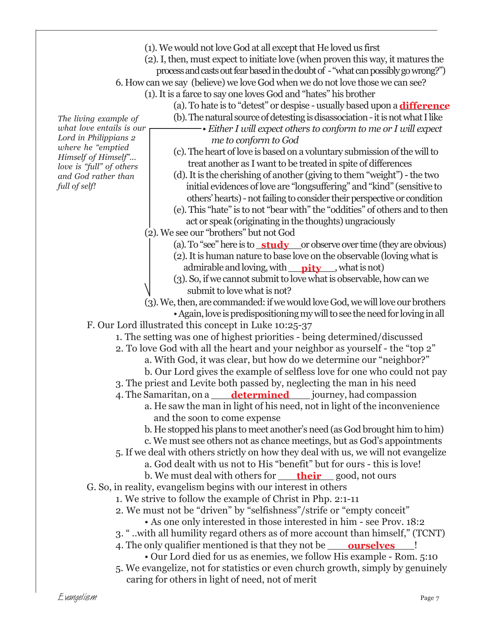- (1). We would not love God at all except that He loved us first
- (2). I, then, must expect to initiate love (when proven this way, it matures the
	- process and casts out fear based in the doubt of "what can possibly go wrong?")
- 6. How can we say (believe) we love God when we do not love those we can see?
	- (1). It is a farce to say one loves God and "hates" his brother
		- (a). To hate is to "detest" or despise usually based upon a **difference**
		- (b). The natural source of detesting is disassociation it is not what I like

*The living example of what love entails is our Lord in Philippians 2 where he "emptied Himself of Himself"... love is "full" of others and God rather than full of self!*

- *Either I will expect others to conform to me or I will expect me to conform to God* (c). The heart of love is based on a voluntary submission of the will to
- treat another as I want to be treated in spite of differences
- (d). It is the cherishing of another (giving to them "weight") the two initial evidences of love are "longsuffering" and "kind" (sensitive to others' hearts) - not failing to consider their perspective or condition
- (e). This "hate" is to not "bear with" the "oddities" of others and to then act or speak (originating in the thoughts) ungraciously
- (2). We see our "brothers" but not God
	- (a). To "see" here is to **\_study** \_\_or observe over time (they are obvious)
	- (2). It is human nature to base love on the observable (loving what is admirable and loving, with <u>pity</u>, what is not)
	- (3). So, if we cannot submit to love what is observable, how can we submit to love what is not?
- (3). We, then, are commanded: if we would love God, we will love our brothers

• Again, love is predispositioning my will to see the need for loving in all F. Our Lord illustrated this concept in Luke 10:25-37

1. The setting was one of highest priorities - being determined/discussed

- 2. To love God with all the heart and your neighbor as yourself the "top 2"
	- a. With God, it was clear, but how do we determine our "neighbor?"
	- b. Our Lord gives the example of selfless love for one who could not pay
- 3. The priest and Levite both passed by, neglecting the man in his need
- 4. The Samaritan, on a <u>\_\_\_\_\_**determined**\_\_\_\_\_\_</u> journey, had compassion
	- a. He saw the man in light of his need, not in light of the inconvenience and the soon to come expense
		- b. He stopped his plans to meet another's need (as God brought him to him)
		- c. We must see others not as chance meetings, but as God's appointments

5. If we deal with others strictly on how they deal with us, we will not evangelize

- a. God dealt with us not to His "benefit" but for ours this is love!
- b. We must deal with others for <u>\_\_\_\_\_**their** \_\_\_\_\_g</u>ood, not ours
- G. So, in reality, evangelism begins with our interest in others
	- 1. We strive to follow the example of Christ in Php. 2:1-11
	- 2. We must not be "driven" by "selfishness"/strife or "empty conceit"
		- As one only interested in those interested in him see Prov. 18:2
	- 3. " ..with all humility regard others as of more account than himself," (TCNT)
	- 4. The only qualifier mentioned is that they not be \_\_\_\_\_**ourselves**\_\_\_\_!
		- Our Lord died for us as enemies, we follow His example Rom. 5:10
	- 5. We evangelize, not for statistics or even church growth, simply by genuinely caring for others in light of need, not of merit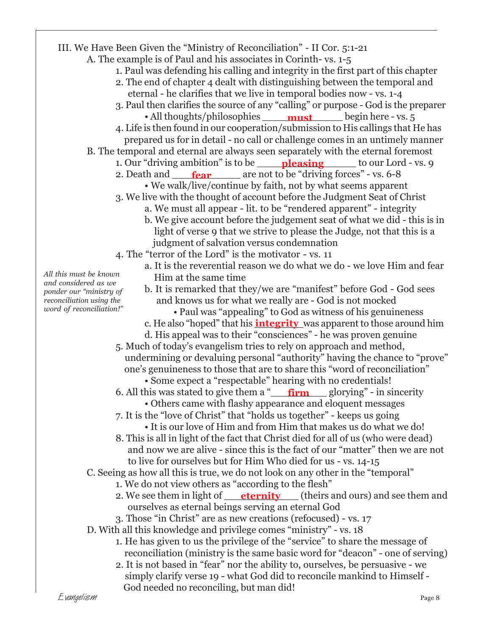| III. We Have Been Given the "Ministry of Reconciliation" - II Cor. 5:1-21                                      |
|----------------------------------------------------------------------------------------------------------------|
| A. The example is of Paul and his associates in Corinth-vs. 1-5                                                |
| 1. Paul was defending his calling and integrity in the first part of this chapter                              |
| 2. The end of chapter 4 dealt with distinguishing between the temporal and                                     |
| eternal - he clarifies that we live in temporal bodies now - vs. 1-4                                           |
| 3. Paul then clarifies the source of any "calling" or purpose - God is the preparer                            |
| • All thoughts/philosophies <u>must</u> begin here - vs. 5                                                     |
| 4. Life is then found in our cooperation/submission to His callings that He has                                |
| prepared us for in detail - no call or challenge comes in an untimely manner                                   |
| B. The temporal and eternal are always seen separately with the eternal foremost                               |
| 1. Our "driving ambition" is to be <b>pleasing</b> to our Lord - vs. 9                                         |
| 2. Death and <b>fear</b> are not to be "driving forces" - vs. 6-8                                              |
| • We walk/live/continue by faith, not by what seems apparent                                                   |
| 3. We live with the thought of account before the Judgment Seat of Christ                                      |
| a. We must all appear - lit. to be "rendered apparent" - integrity                                             |
| b. We give account before the judgement seat of what we did - this is in                                       |
| light of verse 9 that we strive to please the Judge, not that this is a                                        |
| judgment of salvation versus condemnation                                                                      |
| 4. The "terror of the Lord" is the motivator - vs. 11                                                          |
| a. It is the reverential reason we do what we do - we love Him and fear                                        |
| All this must be known<br>Him at the same time                                                                 |
| and considered as we<br>b. It is remarked that they/we are "manifest" before God - God sees                    |
| ponder our "ministry of<br>and knows us for what we really are - God is not mocked<br>reconciliation using the |
| word of reconciliation!"<br>• Paul was "appealing" to God as witness of his genuineness                        |
| c. He also "hoped" that his <b>integrity</b> was apparent to those around him                                  |
| d. His appeal was to their "consciences" - he was proven genuine                                               |
| 5. Much of today's evangelism tries to rely on approach and method,                                            |
| undermining or devaluing personal "authority" having the chance to "prove"                                     |
| one's genuineness to those that are to share this "word of reconciliation"                                     |
| • Some expect a "respectable" hearing with no credentials!                                                     |
| 6. All this was stated to give them a $\frac{m}{n}$ firm glorying" - in sincerity                              |
| • Others came with flashy appearance and eloquent messages                                                     |
| 7. It is the "love of Christ" that "holds us together" - keeps us going                                        |
| • It is our love of Him and from Him that makes us do what we do!                                              |
| 8. This is all in light of the fact that Christ died for all of us (who were dead)                             |
| and now we are alive - since this is the fact of our "matter" then we are not                                  |
| to live for ourselves but for Him Who died for us - vs. 14-15                                                  |
| C. Seeing as how all this is true, we do not look on any other in the "temporal"                               |
| 1. We do not view others as "according to the flesh"                                                           |
| 2. We see them in light of <u>ternity</u> (theirs and ours) and see them and                                   |
| ourselves as eternal beings serving an eternal God                                                             |
| 3. Those "in Christ" are as new creations (refocused) - vs. 17                                                 |
| D. With all this knowledge and privilege comes "ministry" - vs. 18                                             |
| 1. He has given to us the privilege of the "service" to share the message of                                   |
| reconciliation (ministry is the same basic word for "deacon" - one of serving)                                 |
| 2. It is not based in "fear" nor the ability to, ourselves, be persuasive - we                                 |
| simply clarify verse 19 - what God did to reconcile mankind to Himself -                                       |
| God needed no reconciling, but man did!                                                                        |
| Evangelism<br>Page 8                                                                                           |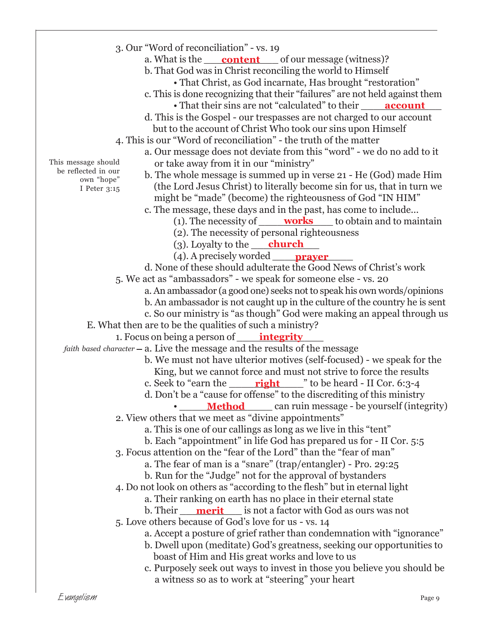3. Our "Word of reconciliation" - vs. 19 a. What is the <u>content</u> of our message (witness)? b. That God was in Christ reconciling the world to Himself • That Christ, as God incarnate, Has brought "restoration" c. This is done recognizing that their "failures" are not held against them • That their sins are not "calculated" to their d. This is the Gospel - our trespasses are not charged to our account but to the account of Christ Who took our sins upon Himself 4. This is our "Word of reconciliation" - the truth of the matter a. Our message does not deviate from this "word" - we do no add to it or take away from it in our "ministry" b. The whole message is summed up in verse 21 - He (God) made Him (the Lord Jesus Christ) to literally become sin for us, that in turn we might be "made" (become) the righteousness of God "IN HIM" c. The message, these days and in the past, has come to include... (1). The necessity of <u>works</u> to obtain and to maintain (2). The necessity of personal righteousness (3). Loyalty to the <u>church</u> (4). A precisely worded \_\_\_\_\_\_\_\_\_\_\_\_\_ **prayer** d. None of these should adulterate the Good News of Christ's work 5. We act as "ambassadors" - we speak for someone else - vs. 20 a. An ambassador (a good one) seeks not to speak his own words/opinions b. An ambassador is not caught up in the culture of the country he is sent c. So our ministry is "as though" God were making an appeal through us E. What then are to be the qualities of such a ministry? 1. Focus on being a person of <u>\_\_\_\_\_\_**integrity**\_\_\_\_\_</u> *faith based character* —  $\emph{a}$ . Live the message and the results of the message b. We must not have ulterior motives (self-focused) - we speak for the King, but we cannot force and must not strive to force the results c. Seek to "earn the \_\_\_\_\_\_<mark>right</mark> \_\_\_\_\_" to be heard - II Cor. 6:3-4 d. Don't be a "cause for offense" to the discrediting of this ministry • \_\_\_\_\_**Method** can ruin message - be yourself (integrity) 2. View others that we meet as "divine appointments" a. This is one of our callings as long as we live in this "tent" b. Each "appointment" in life God has prepared us for - II Cor. 5:5 3. Focus attention on the "fear of the Lord" than the "fear of man" a. The fear of man is a "snare" (trap/entangler) - Pro. 29:25 b. Run for the "Judge" not for the approval of bystanders 4. Do not look on others as "according to the flesh" but in eternal light a. Their ranking on earth has no place in their eternal state b. Their \_\_\_\_\_\_\_\_\_\_ is not a factor with God as ours was not **merit** 5. Love others because of God's love for us - vs. 14 a. Accept a posture of grief rather than condemnation with "ignorance" b. Dwell upon (meditate) God's greatness, seeking our opportunities to boast of Him and His great works and love to us c. Purposely seek out ways to invest in those you believe you should be a witness so as to work at "steering" your heart This message should be reflected in our own "hope" I Peter 3:15 **account**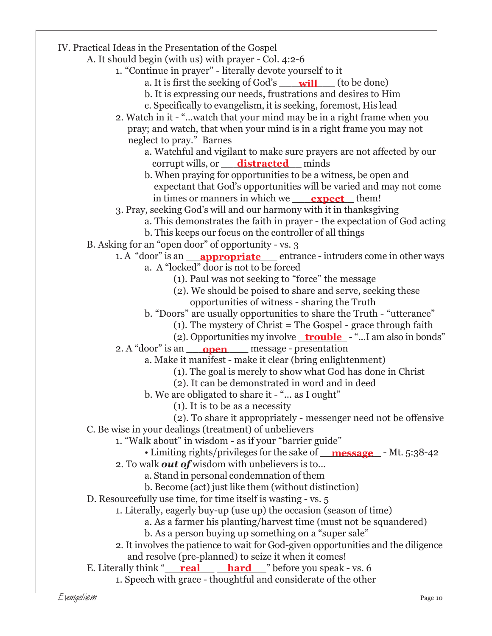IV. Practical Ideas in the Presentation of the Gospel A. It should begin (with us) with prayer - Col. 4:2-6 1. "Continue in prayer" - literally devote yourself to it a. It is first the seeking of God's **will** (to be done) b. It is expressing our needs, frustrations and desires to Him c. Specifically to evangelism, it is seeking, foremost, His lead 2. Watch in it - "...watch that your mind may be in a right frame when you pray; and watch, that when your mind is in a right frame you may not neglect to pray." Barnes a. Watchful and vigilant to make sure prayers are not affected by our corrupt wills, or <u>\_\_\_\_**distracted**\_\_\_</u> minds b. When praying for opportunities to be a witness, be open and expectant that God's opportunities will be varied and may not come in times or manners in which we <u>expect</u> them! 3. Pray, seeking God's will and our harmony with it in thanksgiving a. This demonstrates the faith in prayer - the expectation of God acting b. This keeps our focus on the controller of all things B. Asking for an "open door" of opportunity - vs. 3 1. A "door" is an <u>\_\_\_**appropriate** \_\_\_</u> entrance - intruders come in other ways a. A "locked" door is not to be forced (1). Paul was not seeking to "force" the message (2). We should be poised to share and serve, seeking these opportunities of witness - sharing the Truth b. "Doors" are usually opportunities to share the Truth - "utterance" (1). The mystery of Christ = The Gospel - grace through faith (2). Opportunities my involve <u>trouble</u> - "...I am also in bonds" 2. A "door" is an <u>open</u> message - presentation a. Make it manifest - make it clear (bring enlightenment) (1). The goal is merely to show what God has done in Christ (2). It can be demonstrated in word and in deed b. We are obligated to share it - "... as I ought" (1). It is to be as a necessity (2). To share it appropriately - messenger need not be offensive C. Be wise in your dealings (treatment) of unbelievers 1. "Walk about" in wisdom - as if your "barrier guide" • Limiting rights/privileges for the sake of <u>message</u> - Mt. 5:38-42 2. To walk *out of* wisdom with unbelievers is to... a. Stand in personal condemnation of them b. Become (act) just like them (without distinction) D. Resourcefully use time, for time itself is wasting - vs. 5 1. Literally, eagerly buy-up (use up) the occasion (season of time) a. As a farmer his planting/harvest time (must not be squandered) b. As a person buying up something on a "super sale" 2. It involves the patience to wait for God-given opportunities and the diligence and resolve (pre-planned) to seize it when it comes! **E.** Literally think "\_\_\_\_<mark>real \_\_\_\_\_\_\_\_\_ hard</mark> \_\_\_" before you speak - vs. 6 1. Speech with grace - thoughtful and considerate of the other

Evangelism Page 10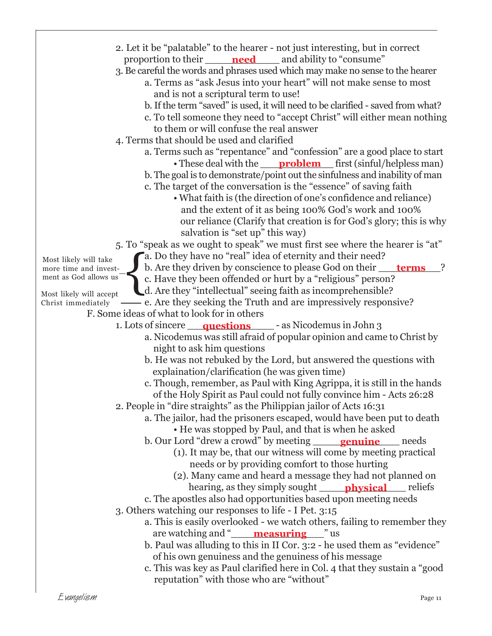2. Let it be "palatable" to the hearer - not just interesting, but in correct proportion to their <u>leed</u> and ability to "consume" 3. Be careful the words and phrases used which may make no sense to the hearer a. Terms as "ask Jesus into your heart" will not make sense to most and is not a scriptural term to use! b. If the term "saved" is used, it will need to be clarified - saved from what? c. To tell someone they need to "accept Christ" will either mean nothing to them or will confuse the real answer 4. Terms that should be used and clarified a. Terms such as "repentance" and "confession" are a good place to start • These deal with the <u>problem</u> first (sinful/helpless man) b. The goal is to demonstrate/point out the sinfulness and inability of man c. The target of the conversation is the "essence" of saving faith • What faith is (the direction of one's confidence and reliance) and the extent of it as being 100% God's work and 100% our reliance (Clarify that creation is for God's glory; this is why salvation is "set up" this way) 5. To "speak as we ought to speak" we must first see where the hearer is "at" a. Do they have no "real" idea of eternity and their need? b. Are they driven by conscience to please God on their <u>\_\_\_\_\_**terms**\_\_\_\_</u>? c. Have they been offended or hurt by a "religious" person? d. Are they "intellectual" seeing faith as incomprehensible? e. Are they seeking the Truth and are impressively responsive? F. Some ideas of what to look for in others 1. Lots of sincere **questions** - as Nicodemus in John 3 a. Nicodemus was still afraid of popular opinion and came to Christ by night to ask him questions b. He was not rebuked by the Lord, but answered the questions with explaination/clarification (he was given time) c. Though, remember, as Paul with King Agrippa, it is still in the hands of the Holy Spirit as Paul could not fully convince him - Acts 26:28 2. People in "dire straights" as the Philippian jailor of Acts 16:31 a. The jailor, had the prisoners escaped, would have been put to death • He was stopped by Paul, and that is when he asked b. Our Lord "drew a crowd" by meeting (1). It may be, that our witness will come by meeting practical needs or by providing comfort to those hurting (2). Many came and heard a message they had not planned on hearing, as they simply sought \_\_\_\_\_\_\_\_\_\_\_\_\_\_ reliefs **physical** c. The apostles also had opportunities based upon meeting needs 3. Others watching our responses to life - I Pet. 3:15 a. This is easily overlooked - we watch others, failing to remember they are watching and "\_\_\_\_\_\_\_\_\_\_\_\_\_\_\_" us **measuring** b. Paul was alluding to this in II Cor. 3:2 - he used them as "evidence" of his own genuiness and the genuiness of his message c. This was key as Paul clarified here in Col. 4 that they sustain a "good reputation" with those who are "without" Most likely will take more time and investment as God allows us Most likely will accept Christ immediately  $\left\{ \right\}$ **genuine** needs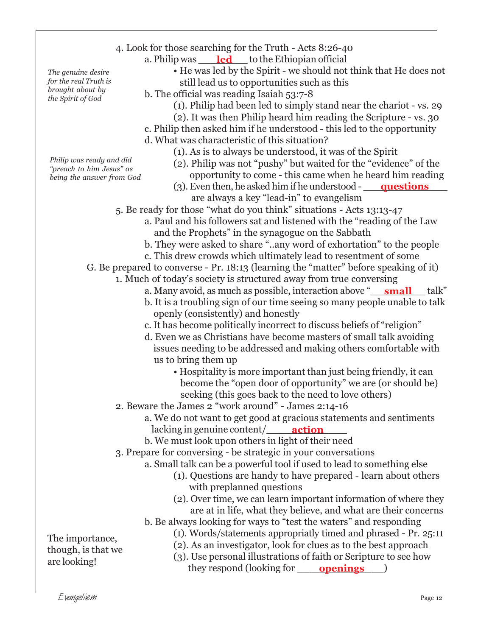a. Philip was \_\_\_\_\_<mark>led</mark> \_\_\_ to the Ethiopian official

• He was led by the Spirit - we should not think that He does not still lead us to opportunities such as this

- b. The official was reading Isaiah 53:7-8
	- (1). Philip had been led to simply stand near the chariot vs. 29
	- (2). It was then Philip heard him reading the Scripture vs. 30
- c. Philip then asked him if he understood this led to the opportunity d. What was characteristic of this situation?
	- (1). As is to always be understood, it was of the Spirit
	- (2). Philip was not "pushy" but waited for the "evidence" of the
		- opportunity to come this came when he heard him reading
	- (3). Even then, he asked him if he understood **questions** are always a key "lead-in" to evangelism
- 5. Be ready for those "what do you think" situations Acts 13:13-47
	- a. Paul and his followers sat and listened with the "reading of the Law and the Prophets" in the synagogue on the Sabbath
	- b. They were asked to share "..any word of exhortation" to the people
	- c. This drew crowds which ultimately lead to resentment of some
- G. Be prepared to converse Pr. 18:13 (learning the "matter" before speaking of it)
	- 1. Much of today's society is structured away from true conversing
		- a. Many avoid, as much as possible, interaction above "\_\_\_<mark>small</mark> \_\_\_ talk"
		- b. It is a troubling sign of our time seeing so many people unable to talk openly (consistently) and honestly
		- c. It has become politically incorrect to discuss beliefs of "religion"
		- d. Even we as Christians have become masters of small talk avoiding issues needing to be addressed and making others comfortable with us to bring them up
			- Hospitality is more important than just being friendly, it can become the "open door of opportunity" we are (or should be) seeking (this goes back to the need to love others)
	- 2. Beware the James 2 "work around" James 2:14-16
		- a. We do not want to get good at gracious statements and sentiments lacking in genuine content/\_\_\_\_\_\_\_<mark>action</mark>\_\_\_\_\_
		- b. We must look upon others in light of their need
	- 3. Prepare for conversing be strategic in your conversations
		- a. Small talk can be a powerful tool if used to lead to something else
			- (1). Questions are handy to have prepared learn about others with preplanned questions
			- (2). Over time, we can learn important information of where they are at in life, what they believe, and what are their concerns
		- b. Be always looking for ways to "test the waters" and responding
			- (1). Words/statements appropriatly timed and phrased Pr. 25:11
			- (2). As an investigator, look for clues as to the best approach
			- (3). Use personal illustrations of faith or Scripture to see how they respond (looking for <u>openings</u>)

*The genuine desire for the real Truth is brought about by the Spirit of God*

*Philip was ready and did "preach to him Jesus" as being the answer from God*

are looking!

The importance, though, is that we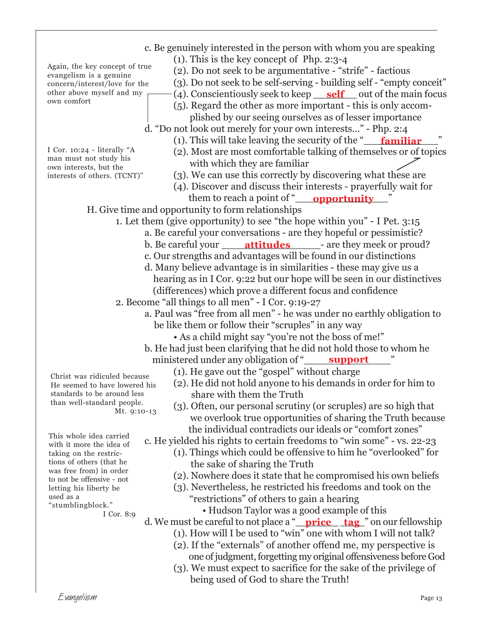c. Be genuinely interested in the person with whom you are speaking (1). This is the key concept of Php. 2:3-4 (2). Do not seek to be argumentative - "strife" - factious (3). Do not seek to be self-serving - building self - "empty conceit" (4). Conscientiously seek to keep <u>self</u> out of the main focus (5). Regard the other as more important - this is only accom plished by our seeing ourselves as of lesser importance d. "Do not look out merely for your own interests..." - Php. 2:4 (1). This will take leaving the security of the "**\_\_\_\_\_\_\_\_\_\_\_\_\_\_\_\_\_\_\_\_\_**" (2). Most are most comfortable talking of themselves or of topics with which they are familiar (3). We can use this correctly by discovering what these are (4). Discover and discuss their interests - prayerfully wait for them to reach a point of "**\_\_\_\_\_\_\_\_\_\_\_\_\_\_\_\_\_\_\_\_\_\_\_\_\_\_\_\_\_**" H. Give time and opportunity to form relationships 1. Let them (give opportunity) to see "the hope within you" - I Pet. 3:15 a. Be careful your conversations - are they hopeful or pessimistic? b. Be careful your <u>\_\_\_\_\_**attitudes** \_\_\_\_\_</u>- are they meek or proud? c. Our strengths and advantages will be found in our distinctions d. Many believe advantage is in similarities - these may give us a hearing as in I Cor. 9:22 but our hope will be seen in our distinctives (differences) which prove a different focus and confidence 2. Become "all things to all men" - I Cor. 9:19-27 a. Paul was "free from all men" - he was under no earthly obligation to be like them or follow their "scruples" in any way • As a child might say "you're not the boss of me!" b. He had just been clarifying that he did not hold those to whom he ministered under any obligation of "\_ (1). He gave out the "gospel" without charge (2). He did not hold anyone to his demands in order for him to share with them the Truth (3). Often, our personal scrutiny (or scruples) are so high that we overlook true opportunities of sharing the Truth because the individual contradicts our ideals or "comfort zones" c. He yielded his rights to certain freedoms to "win some" - vs. 22-23 (1). Things which could be offensive to him he "overlooked" for the sake of sharing the Truth (2). Nowhere does it state that he compromised his own beliefs (3). Nevertheless, he restricted his freedoms and took on the "restrictions" of others to gain a hearing • Hudson Taylor was a good example of this d. We must be careful to not place a "\_\_\_\_\_\_\_ \_\_\_\_" on our fellowship **price tag**(1). How will I be used to "win" one with whom I will not talk? (2). If the "externals" of another offend me, my perspective is one of judgment, forgetting my original offensiveness before God Again, the key concept of true evangelism is a genuine concern/interest/love for the other above myself and my own comfort I Cor. 10:24 - literally "A man must not study his own interests, but the interests of others. (TCNT)" This whole idea carried with it more the idea of taking on the restrictions of others (that he was free from) in order to not be offensive - not letting his liberty be used as a "stumblingblock." I Cor. 8:9 Christ was ridiculed because He seemed to have lowered his standards to be around less than well-standard people. Mt. 9:10-13 **support**

(3). We must expect to sacrifice for the sake of the privilege of being used of God to share the Truth!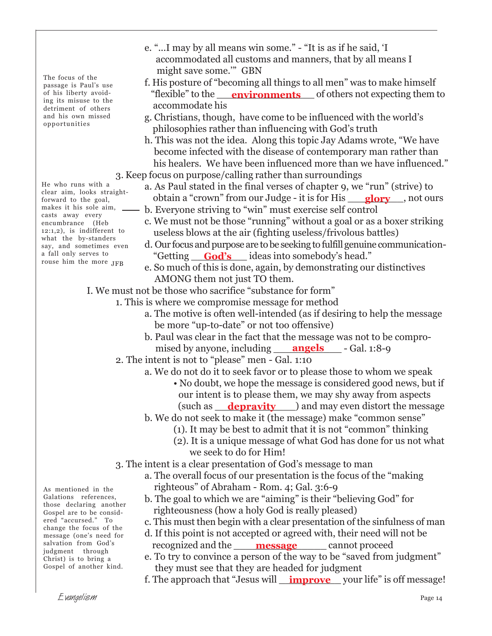The focus of the passage is Paul's use of his liberty avoiding its misuse to the detriment of others and his own missed opportunities

He who runs with a clear aim, looks straightforward to the goal, makes it his sole aim, casts away every encumbrance (Heb 12:1,2), is indifferent to what the by-standers say, and sometimes even a fall only serves to rouse him the more JFB

- e. "...I may by all means win some." "It is as if he said, 'I accommodated all customs and manners, that by all means I might save some.'" GBN
- f. His posture of "becoming all things to all men" was to make himself "flexible" to the **environments** of others not expecting them to accommodate his
- g. Christians, though, have come to be influenced with the world's philosophies rather than influencing with God's truth
- h. This was not the idea. Along this topic Jay Adams wrote, "We have become infected with the disease of contemporary man rather than his healers. We have been influenced more than we have influenced." 3. Keep focus on purpose/calling rather than surroundings
	- a. As Paul stated in the final verses of chapter 9, we "run" (strive) to obtain a "crown" from our Judge - it is for His <u>glory</u>, not ours
		- b. Everyone striving to "win" must exercise self control
		- c. We must not be those "running" without a goal or as a boxer striking useless blows at the air (fighting useless/frivolous battles)
		- d. Our focus and purpose are to be seeking to fulfill genuine communication- "Getting \_\_\_\_\_\_\_\_\_ ideas into somebody's head." **God's**
		- e. So much of this is done, again, by demonstrating our distinctives AMONG them not just TO them.
- I. We must not be those who sacrifice "substance for form"
	- 1. This is where we compromise message for method
		- a. The motive is often well-intended (as if desiring to help the message be more "up-to-date" or not too offensive)
		- b. Paul was clear in the fact that the message was not to be compro mised by anyone, including **angels** - Gal. 1:8-9
	- 2. The intent is not to "please" men Gal. 1:10
		- a. We do not do it to seek favor or to please those to whom we speak
			- No doubt, we hope the message is considered good news, but if our intent is to please them, we may shy away from aspects (such as **<u>depravity</u>** ) and may even distort the message
		- b. We do not seek to make it (the message) make "common sense"
			- (1). It may be best to admit that it is not "common" thinking
			- (2). It is a unique message of what God has done for us not what we seek to do for Him!
	- 3. The intent is a clear presentation of God's message to man
		- a. The overall focus of our presentation is the focus of the "making righteous" of Abraham - Rom. 4; Gal. 3:6-9
		- b. The goal to which we are "aiming" is their "believing God" for righteousness (how a holy God is really pleased)
		- c. This must then begin with a clear presentation of the sinfulness of man
		- d. If this point is not accepted or agreed with, their need will not be recognized and the <u>message</u> cannot proceed
		- e. To try to convince a person of the way to be "saved from judgment" they must see that they are headed for judgment
		- f. The approach that "Jesus will <u>\_\_**improve**\_\_</u>\_your life" is off message!

As mentioned in the Galations references, those declaring another Gospel are to be considered "accursed." To change the focus of the message (one's need for salvation from God's judgment through Christ) is to bring a Gospel of another kind.